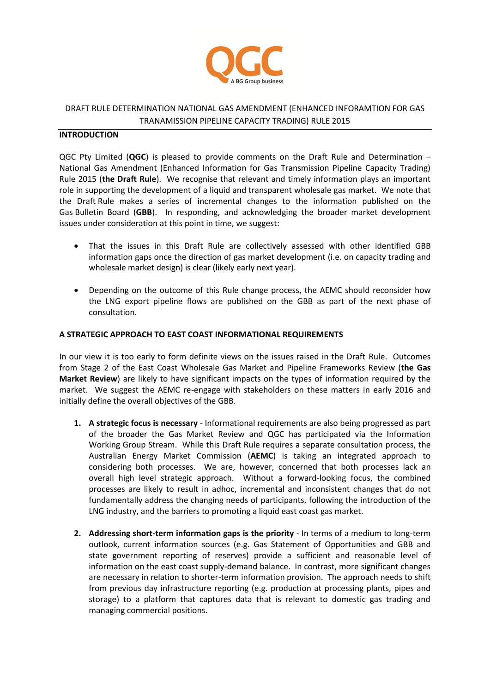

## DRAFT RULE DETERMINATION NATIONAL GAS AMENDMENT (ENHANCED INFORAMTION FOR GAS TRANAMISSION PIPELINE CAPACITY TRADING) RULE 2015

## **INTRODUCTION**

QGC Pty Limited (**QGC**) is pleased to provide comments on the Draft Rule and Determination – National Gas Amendment (Enhanced Information for Gas Transmission Pipeline Capacity Trading) Rule 2015 (**the Draft Rule**). We recognise that relevant and timely information plays an important role in supporting the development of a liquid and transparent wholesale gas market. We note that the Draft Rule makes a series of incremental changes to the information published on the Gas Bulletin Board (**GBB**). In responding, and acknowledging the broader market development issues under consideration at this point in time, we suggest:

- That the issues in this Draft Rule are collectively assessed with other identified GBB information gaps once the direction of gas market development (i.e. on capacity trading and wholesale market design) is clear (likely early next year).
- Depending on the outcome of this Rule change process, the AEMC should reconsider how the LNG export pipeline flows are published on the GBB as part of the next phase of consultation.

## **A STRATEGIC APPROACH TO EAST COAST INFORMATIONAL REQUIREMENTS**

In our view it is too early to form definite views on the issues raised in the Draft Rule. Outcomes from Stage 2 of the East Coast Wholesale Gas Market and Pipeline Frameworks Review (**the Gas Market Review**) are likely to have significant impacts on the types of information required by the market. We suggest the AEMC re-engage with stakeholders on these matters in early 2016 and initially define the overall objectives of the GBB.

- **1. A strategic focus is necessary**  Informational requirements are also being progressed as part of the broader the Gas Market Review and QGC has participated via the Information Working Group Stream. While this Draft Rule requires a separate consultation process, the Australian Energy Market Commission (**AEMC**) is taking an integrated approach to considering both processes. We are, however, concerned that both processes lack an overall high level strategic approach. Without a forward-looking focus, the combined processes are likely to result in adhoc, incremental and inconsistent changes that do not fundamentally address the changing needs of participants, following the introduction of the LNG industry, and the barriers to promoting a liquid east coast gas market.
- **2. Addressing short-term information gaps is the priority** In terms of a medium to long-term outlook, current information sources (e.g. Gas Statement of Opportunities and GBB and state government reporting of reserves) provide a sufficient and reasonable level of information on the east coast supply-demand balance. In contrast, more significant changes are necessary in relation to shorter-term information provision. The approach needs to shift from previous day infrastructure reporting (e.g. production at processing plants, pipes and storage) to a platform that captures data that is relevant to domestic gas trading and managing commercial positions.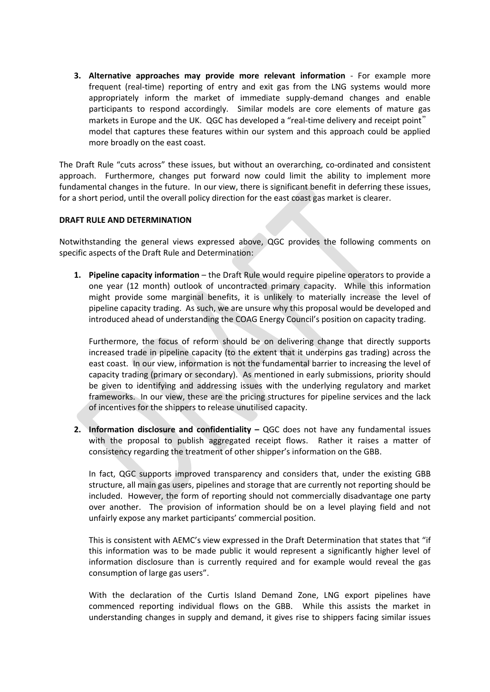**3. Alternative approaches may provide more relevant information** - For example more frequent (real-time) reporting of entry and exit gas from the LNG systems would more appropriately inform the market of immediate supply-demand changes and enable participants to respond accordingly. Similar models are core elements of mature gas markets in Europe and the UK. QGC has developed a "real-time delivery and receipt point" model that captures these features within our system and this approach could be applied more broadly on the east coast.

The Draft Rule "cuts across" these issues, but without an overarching, co-ordinated and consistent approach. Furthermore, changes put forward now could limit the ability to implement more fundamental changes in the future. In our view, there is significant benefit in deferring these issues, for a short period, until the overall policy direction for the east coast gas market is clearer.

## **DRAFT RULE AND DETERMINATION**

Notwithstanding the general views expressed above, QGC provides the following comments on specific aspects of the Draft Rule and Determination:

**1. Pipeline capacity information** – the Draft Rule would require pipeline operators to provide a one year (12 month) outlook of uncontracted primary capacity. While this information might provide some marginal benefits, it is unlikely to materially increase the level of pipeline capacity trading. As such, we are unsure why this proposal would be developed and introduced ahead of understanding the COAG Energy Council's position on capacity trading.

Furthermore, the focus of reform should be on delivering change that directly supports increased trade in pipeline capacity (to the extent that it underpins gas trading) across the east coast. In our view, information is not the fundamental barrier to increasing the level of capacity trading (primary or secondary). As mentioned in early submissions, priority should be given to identifying and addressing issues with the underlying regulatory and market frameworks. In our view, these are the pricing structures for pipeline services and the lack of incentives for the shippers to release unutilised capacity.

**2. Information disclosure and confidentiality –** QGC does not have any fundamental issues with the proposal to publish aggregated receipt flows. Rather it raises a matter of consistency regarding the treatment of other shipper's information on the GBB.

In fact, QGC supports improved transparency and considers that, under the existing GBB structure, all main gas users, pipelines and storage that are currently not reporting should be included. However, the form of reporting should not commercially disadvantage one party over another. The provision of information should be on a level playing field and not unfairly expose any market participants' commercial position.

This is consistent with AEMC's view expressed in the Draft Determination that states that "if this information was to be made public it would represent a significantly higher level of information disclosure than is currently required and for example would reveal the gas consumption of large gas users".

With the declaration of the Curtis Island Demand Zone, LNG export pipelines have commenced reporting individual flows on the GBB. While this assists the market in understanding changes in supply and demand, it gives rise to shippers facing similar issues